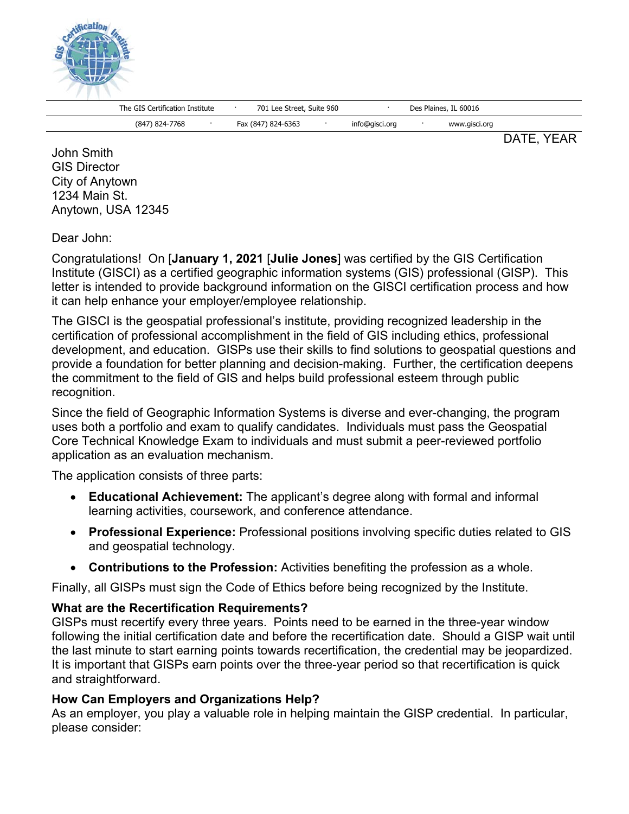

The GIS Certification Institute · 701 Lee Street, Suite 960 · Des Plaines, IL 60016

(847) 824-7768 · Fax (847) 824-6363 · info@gisci.org · www.gisci.org

DATE, YEAR

John Smith GIS Director City of Anytown 1234 Main St. Anytown, USA 12345

Dear John:

Congratulations! On [**January 1, 2021** [**Julie Jones**] was certified by the GIS Certification Institute (GISCI) as a certified geographic information systems (GIS) professional (GISP). This letter is intended to provide background information on the GISCI certification process and how it can help enhance your employer/employee relationship.

The GISCI is the geospatial professional's institute, providing recognized leadership in the certification of professional accomplishment in the field of GIS including ethics, professional development, and education. GISPs use their skills to find solutions to geospatial questions and provide a foundation for better planning and decision-making. Further, the certification deepens the commitment to the field of GIS and helps build professional esteem through public recognition.

Since the field of Geographic Information Systems is diverse and ever-changing, the program uses both a portfolio and exam to qualify candidates. Individuals must pass the Geospatial Core Technical Knowledge Exam to individuals and must submit a peer-reviewed portfolio application as an evaluation mechanism.

The application consists of three parts:

- **Educational Achievement:** The applicant's degree along with formal and informal learning activities, coursework, and conference attendance.
- **Professional Experience:** Professional positions involving specific duties related to GIS and geospatial technology.
- **Contributions to the Profession:** Activities benefiting the profession as a whole.

Finally, all GISPs must sign the Code of Ethics before being recognized by the Institute.

## **What are the Recertification Requirements?**

GISPs must recertify every three years. Points need to be earned in the three-year window following the initial certification date and before the recertification date. Should a GISP wait until the last minute to start earning points towards recertification, the credential may be jeopardized. It is important that GISPs earn points over the three-year period so that recertification is quick and straightforward.

## **How Can Employers and Organizations Help?**

As an employer, you play a valuable role in helping maintain the GISP credential. In particular, please consider: